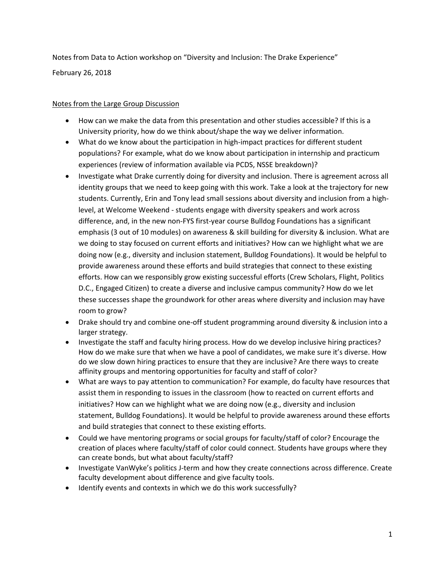Notes from Data to Action workshop on "Diversity and Inclusion: The Drake Experience"

February 26, 2018

## Notes from the Large Group Discussion

- How can we make the data from this presentation and other studies accessible? If this is a University priority, how do we think about/shape the way we deliver information.
- What do we know about the participation in high-impact practices for different student populations? For example, what do we know about participation in internship and practicum experiences (review of information available via PCDS, NSSE breakdown)?
- Investigate what Drake currently doing for diversity and inclusion. There is agreement across all identity groups that we need to keep going with this work. Take a look at the trajectory for new students. Currently, Erin and Tony lead small sessions about diversity and inclusion from a highlevel, at Welcome Weekend - students engage with diversity speakers and work across difference, and, in the new non-FYS first-year course Bulldog Foundations has a significant emphasis (3 out of 10 modules) on awareness & skill building for diversity & inclusion. What are we doing to stay focused on current efforts and initiatives? How can we highlight what we are doing now (e.g., diversity and inclusion statement, Bulldog Foundations). It would be helpful to provide awareness around these efforts and build strategies that connect to these existing efforts. How can we responsibly grow existing successful efforts (Crew Scholars, Flight, Politics D.C., Engaged Citizen) to create a diverse and inclusive campus community? How do we let these successes shape the groundwork for other areas where diversity and inclusion may have room to grow?
- Drake should try and combine one-off student programming around diversity & inclusion into a larger strategy.
- Investigate the staff and faculty hiring process. How do we develop inclusive hiring practices? How do we make sure that when we have a pool of candidates, we make sure it's diverse. How do we slow down hiring practices to ensure that they are inclusive? Are there ways to create affinity groups and mentoring opportunities for faculty and staff of color?
- What are ways to pay attention to communication? For example, do faculty have resources that assist them in responding to issues in the classroom (how to reacted on current efforts and initiatives? How can we highlight what we are doing now (e.g., diversity and inclusion statement, Bulldog Foundations). It would be helpful to provide awareness around these efforts and build strategies that connect to these existing efforts.
- Could we have mentoring programs or social groups for faculty/staff of color? Encourage the creation of places where faculty/staff of color could connect. Students have groups where they can create bonds, but what about faculty/staff?
- Investigate VanWyke's politics J-term and how they create connections across difference. Create faculty development about difference and give faculty tools.
- Identify events and contexts in which we do this work successfully?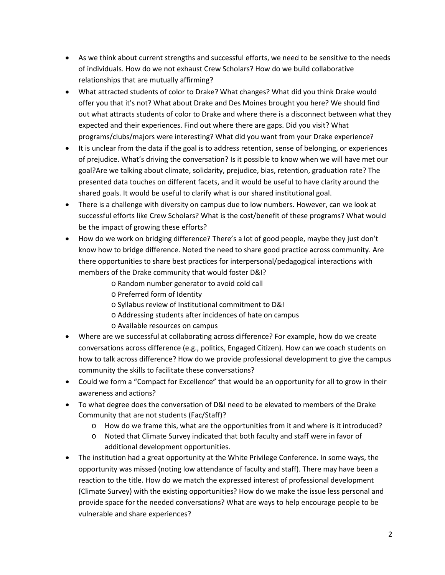- As we think about current strengths and successful efforts, we need to be sensitive to the needs of individuals. How do we not exhaust Crew Scholars? How do we build collaborative relationships that are mutually affirming?
- What attracted students of color to Drake? What changes? What did you think Drake would offer you that it's not? What about Drake and Des Moines brought you here? We should find out what attracts students of color to Drake and where there is a disconnect between what they expected and their experiences. Find out where there are gaps. Did you visit? What programs/clubs/majors were interesting? What did you want from your Drake experience?
- It is unclear from the data if the goal is to address retention, sense of belonging, or experiences of prejudice. What's driving the conversation? Is it possible to know when we will have met our goal?Are we talking about climate, solidarity, prejudice, bias, retention, graduation rate? The presented data touches on different facets, and it would be useful to have clarity around the shared goals. It would be useful to clarify what is our shared institutional goal.
- There is a challenge with diversity on campus due to low numbers. However, can we look at successful efforts like Crew Scholars? What is the cost/benefit of these programs? What would be the impact of growing these efforts?
- How do we work on bridging difference? There's a lot of good people, maybe they just don't know how to bridge difference. Noted the need to share good practice across community. Are there opportunities to share best practices for interpersonal/pedagogical interactions with members of the Drake community that would foster D&I?
	- o Random number generator to avoid cold call
	- o Preferred form of Identity
	- o Syllabus review of Institutional commitment to D&I
	- o Addressing students after incidences of hate on campus
	- o Available resources on campus
- Where are we successful at collaborating across difference? For example, how do we create conversations across difference (e.g., politics, Engaged Citizen). How can we coach students on how to talk across difference? How do we provide professional development to give the campus community the skills to facilitate these conversations?
- Could we form a "Compact for Excellence" that would be an opportunity for all to grow in their awareness and actions?
- To what degree does the conversation of D&I need to be elevated to members of the Drake Community that are not students (Fac/Staff)?
	- o How do we frame this, what are the opportunities from it and where is it introduced?
	- o Noted that Climate Survey indicated that both faculty and staff were in favor of additional development opportunities.
- The institution had a great opportunity at the White Privilege Conference. In some ways, the opportunity was missed (noting low attendance of faculty and staff). There may have been a reaction to the title. How do we match the expressed interest of professional development (Climate Survey) with the existing opportunities? How do we make the issue less personal and provide space for the needed conversations? What are ways to help encourage people to be vulnerable and share experiences?